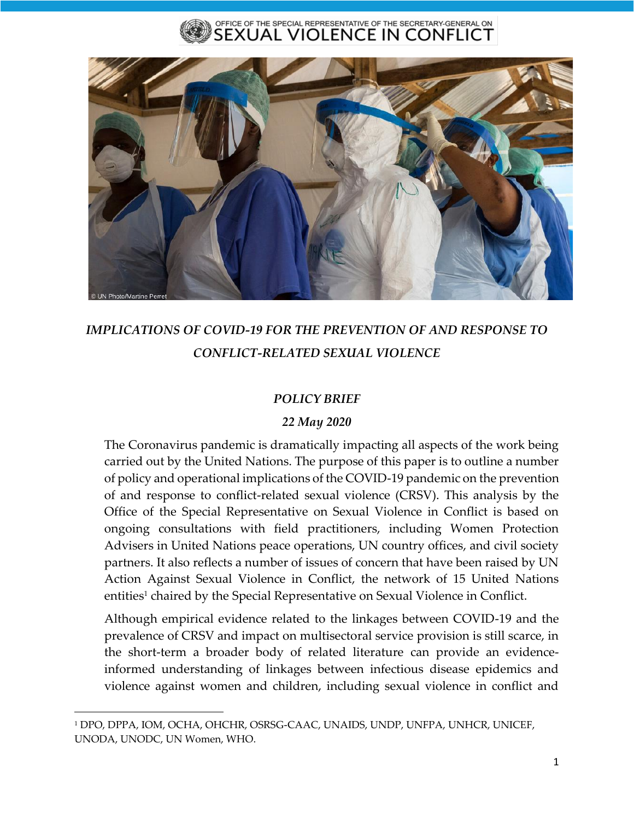#### OFFICE OF THE SPECIAL REPRESENTATIVE OF THE SECRETARY-GENERAL ON EXUAL VIOLENCE IN CONFLICT



# *IMPLICATIONS OF COVID-19 FOR THE PREVENTION OF AND RESPONSE TO CONFLICT-RELATED SEXUAL VIOLENCE*

### *POLICY BRIEF*

#### *22 May 2020*

The Coronavirus pandemic is dramatically impacting all aspects of the work being carried out by the United Nations. The purpose of this paper is to outline a number of policy and operational implications of the COVID-19 pandemic on the prevention of and response to conflict-related sexual violence (CRSV). This analysis by the Office of the Special Representative on Sexual Violence in Conflict is based on ongoing consultations with field practitioners, including Women Protection Advisers in United Nations peace operations, UN country offices, and civil society partners. It also reflects a number of issues of concern that have been raised by UN Action Against Sexual Violence in Conflict, the network of 15 United Nations entities<sup>1</sup> chaired by the Special Representative on Sexual Violence in Conflict.

Although empirical evidence related to the linkages between COVID-19 and the prevalence of CRSV and impact on multisectoral service provision is still scarce, in the short-term a broader body of related literature can provide an evidenceinformed understanding of linkages between infectious disease epidemics and violence against women and children, including sexual violence in conflict and

<sup>1</sup> DPO, DPPA, IOM, OCHA, OHCHR, OSRSG-CAAC, UNAIDS, UNDP, UNFPA, UNHCR, UNICEF, UNODA, UNODC, UN Women, WHO.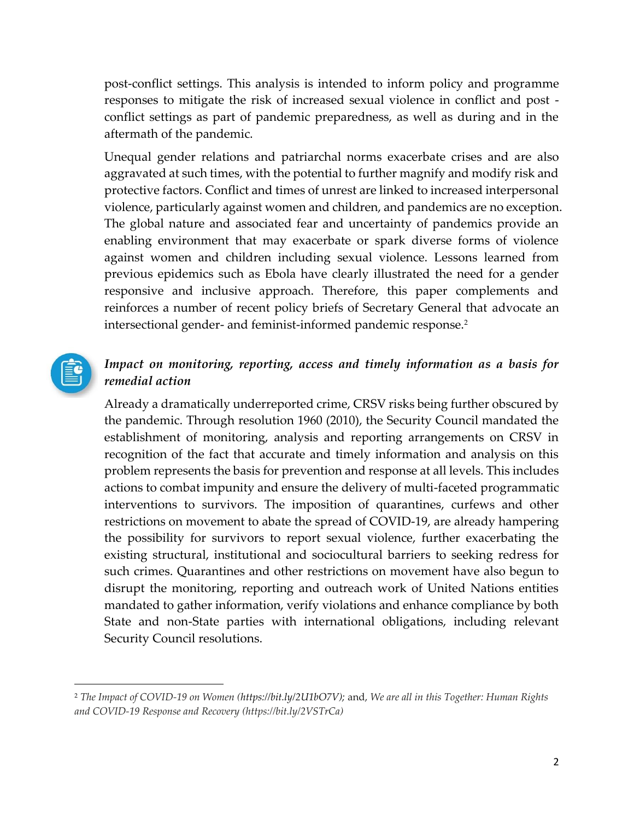post-conflict settings. This analysis is intended to inform policy and programme responses to mitigate the risk of increased sexual violence in conflict and post conflict settings as part of pandemic preparedness, as well as during and in the aftermath of the pandemic.

Unequal gender relations and patriarchal norms exacerbate crises and are also aggravated at such times, with the potential to further magnify and modify risk and protective factors. Conflict and times of unrest are linked to increased interpersonal violence, particularly against women and children, and pandemics are no exception. The global nature and associated fear and uncertainty of pandemics provide an enabling environment that may exacerbate or spark diverse forms of violence against women and children including sexual violence. Lessons learned from previous epidemics such as Ebola have clearly illustrated the need for a gender responsive and inclusive approach. Therefore, this paper complements and reinforces a number of recent policy briefs of Secretary General that advocate an intersectional gender- and feminist-informed pandemic response.<sup>2</sup>



### *Impact on monitoring, reporting, access and timely information as a basis for remedial action*

Already a dramatically underreported crime, CRSV risks being further obscured by the pandemic. Through resolution 1960 (2010), the Security Council mandated the establishment of monitoring, analysis and reporting arrangements on CRSV in recognition of the fact that accurate and timely information and analysis on this problem represents the basis for prevention and response at all levels. This includes actions to combat impunity and ensure the delivery of multi-faceted programmatic interventions to survivors. The imposition of quarantines, curfews and other restrictions on movement to abate the spread of COVID-19, are already hampering the possibility for survivors to report sexual violence, further exacerbating the existing structural, institutional and sociocultural barriers to seeking redress for such crimes. Quarantines and other restrictions on movement have also begun to disrupt the monitoring, reporting and outreach work of United Nations entities mandated to gather information, verify violations and enhance compliance by both State and non-State parties with international obligations, including relevant Security Council resolutions.

<sup>2</sup> *The Impact of COVID-19 on Women [\(https://bit.ly/2U1bO7V\)](https://bit.ly/2U1bO7V);* and, *We are all in this Together: Human Rights and COVID-19 Response and Recovery (https://bit.ly/2VSTrCa)*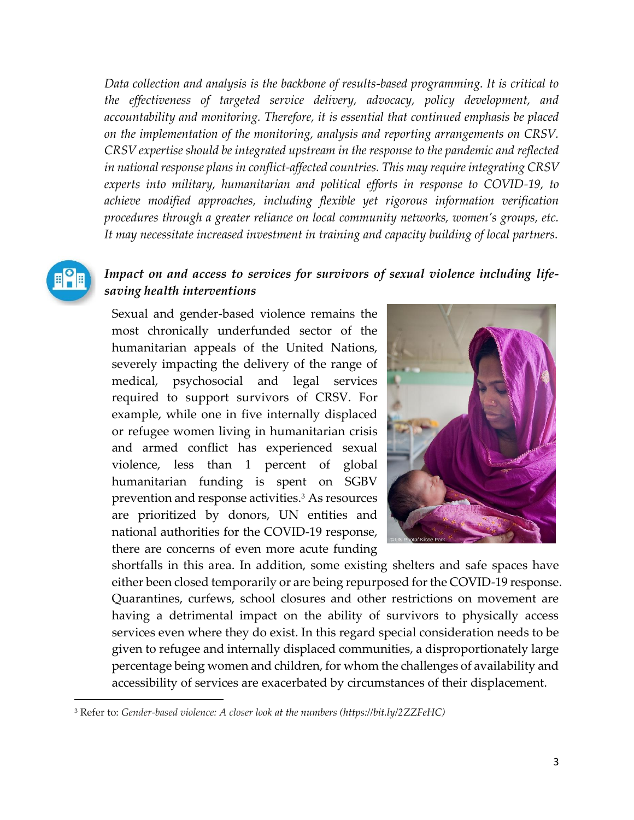*Data collection and analysis is the backbone of results-based programming. It is critical to the effectiveness of targeted service delivery, advocacy, policy development, and accountability and monitoring. Therefore, it is essential that continued emphasis be placed on the implementation of the monitoring, analysis and reporting arrangements on CRSV. CRSV expertise should be integrated upstream in the response to the pandemic and reflected in national response plans in conflict-affected countries. This may require integrating CRSV experts into military, humanitarian and political efforts in response to COVID-19, to achieve modified approaches, including flexible yet rigorous information verification procedures through a greater reliance on local community networks, women's groups, etc. It may necessitate increased investment in training and capacity building of local partners.* 



#### *Impact on and access to services for survivors of sexual violence including lifesaving health interventions*

Sexual and gender-based violence remains the most chronically underfunded sector of the humanitarian appeals of the United Nations, severely impacting the delivery of the range of medical, psychosocial and legal services required to support survivors of CRSV. For example, while one in five internally displaced or refugee women living in humanitarian crisis and armed conflict has experienced sexual violence, less than 1 percent of global humanitarian funding is spent on SGBV prevention and response activities.<sup>3</sup> As resources are prioritized by donors, UN entities and national authorities for the COVID-19 response, there are concerns of even more acute funding



shortfalls in this area. In addition, some existing shelters and safe spaces have either been closed temporarily or are being repurposed for the COVID-19 response. Quarantines, curfews, school closures and other restrictions on movement are having a detrimental impact on the ability of survivors to physically access services even where they do exist. In this regard special consideration needs to be given to refugee and internally displaced communities, a disproportionately large percentage being women and children, for whom the challenges of availability and accessibility of services are exacerbated by circumstances of their displacement.

<sup>3</sup> Refer to: *Gender-based violence: A closer look at the numbers [\(https://bit.ly/2ZZFeHC\)](https://bit.ly/2ZZFeHC)*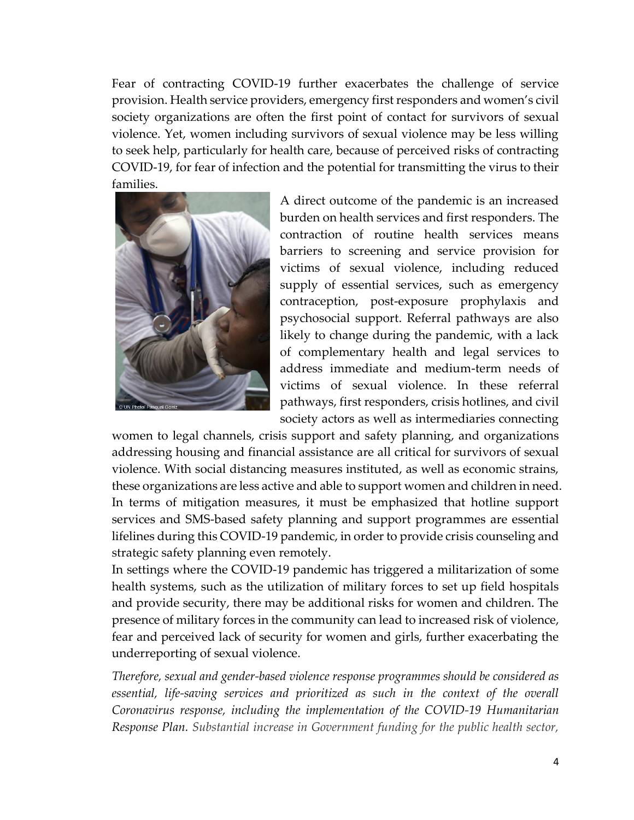Fear of contracting COVID-19 further exacerbates the challenge of service provision. Health service providers, emergency first responders and women's civil society organizations are often the first point of contact for survivors of sexual violence. Yet, women including survivors of sexual violence may be less willing to seek help, particularly for health care, because of perceived risks of contracting COVID-19, for fear of infection and the potential for transmitting the virus to their families.



A direct outcome of the pandemic is an increased burden on health services and first responders. The contraction of routine health services means barriers to screening and service provision for victims of sexual violence, including reduced supply of essential services, such as emergency contraception, post-exposure prophylaxis and psychosocial support. Referral pathways are also likely to change during the pandemic, with a lack of complementary health and legal services to address immediate and medium-term needs of victims of sexual violence. In these referral pathways, first responders, crisis hotlines, and civil society actors as well as intermediaries connecting

women to legal channels, crisis support and safety planning, and organizations addressing housing and financial assistance are all critical for survivors of sexual violence. With social distancing measures instituted, as well as economic strains, these organizations are less active and able to support women and children in need. In terms of mitigation measures, it must be emphasized that hotline support services and SMS-based safety planning and support programmes are essential lifelines during this COVID-19 pandemic, in order to provide crisis counseling and strategic safety planning even remotely.

In settings where the COVID-19 pandemic has triggered a militarization of some health systems, such as the utilization of military forces to set up field hospitals and provide security, there may be additional risks for women and children. The presence of military forces in the community can lead to increased risk of violence, fear and perceived lack of security for women and girls, further exacerbating the underreporting of sexual violence.

*Therefore, sexual and gender-based violence response programmes should be considered as*  essential, life-saving services and prioritized as such in the context of the overall *Coronavirus response, including the implementation of the COVID-19 Humanitarian Response Plan. Substantial increase in Government funding for the public health sector,*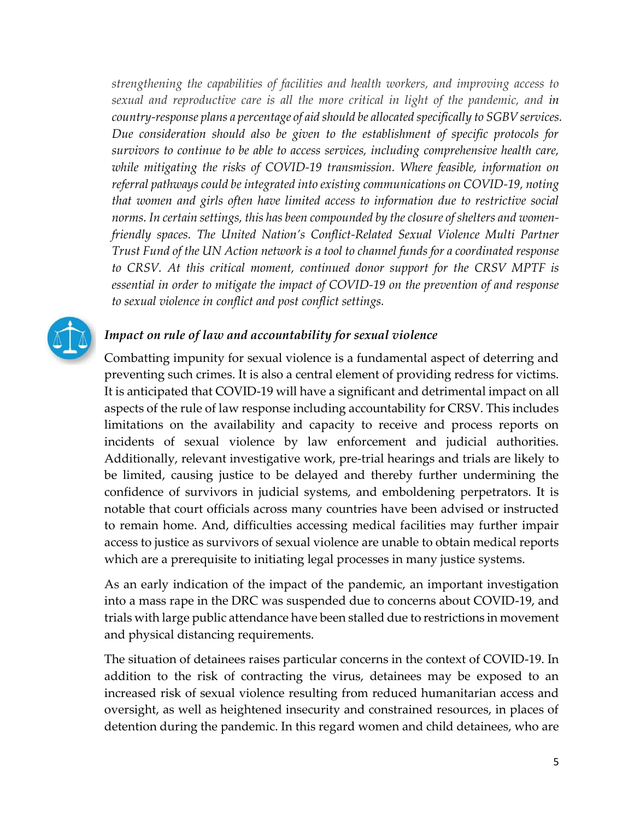*strengthening the capabilities of facilities and health workers, and improving access to sexual and reproductive care is all the more critical in light of the pandemic, and in country-response plans a percentage of aid should be allocated specifically to SGBV services. Due consideration should also be given to the establishment of specific protocols for survivors to continue to be able to access services, including comprehensive health care, while mitigating the risks of COVID-19 transmission. Where feasible, information on referral pathways could be integrated into existing communications on COVID-19, noting that women and girls often have limited access to information due to restrictive social norms. In certain settings, this has been compounded by the closure of shelters and womenfriendly spaces. The United Nation's Conflict-Related Sexual Violence Multi Partner Trust Fund of the UN Action network is a tool to channel funds for a coordinated response to CRSV. At this critical moment, continued donor support for the CRSV MPTF is essential in order to mitigate the impact of COVID-19 on the prevention of and response to sexual violence in conflict and post conflict settings.* 



#### *Impact on rule of law and accountability for sexual violence*

Combatting impunity for sexual violence is a fundamental aspect of deterring and preventing such crimes. It is also a central element of providing redress for victims. It is anticipated that COVID-19 will have a significant and detrimental impact on all aspects of the rule of law response including accountability for CRSV. This includes limitations on the availability and capacity to receive and process reports on incidents of sexual violence by law enforcement and judicial authorities. Additionally, relevant investigative work, pre-trial hearings and trials are likely to be limited, causing justice to be delayed and thereby further undermining the confidence of survivors in judicial systems, and emboldening perpetrators. It is notable that court officials across many countries have been advised or instructed to remain home. And, difficulties accessing medical facilities may further impair access to justice as survivors of sexual violence are unable to obtain medical reports which are a prerequisite to initiating legal processes in many justice systems.

As an early indication of the impact of the pandemic, an important investigation into a mass rape in the DRC was suspended due to concerns about COVID-19, and trials with large public attendance have been stalled due to restrictions in movement and physical distancing requirements.

The situation of detainees raises particular concerns in the context of COVID-19. In addition to the risk of contracting the virus, detainees may be exposed to an increased risk of sexual violence resulting from reduced humanitarian access and oversight, as well as heightened insecurity and constrained resources, in places of detention during the pandemic. In this regard women and child detainees, who are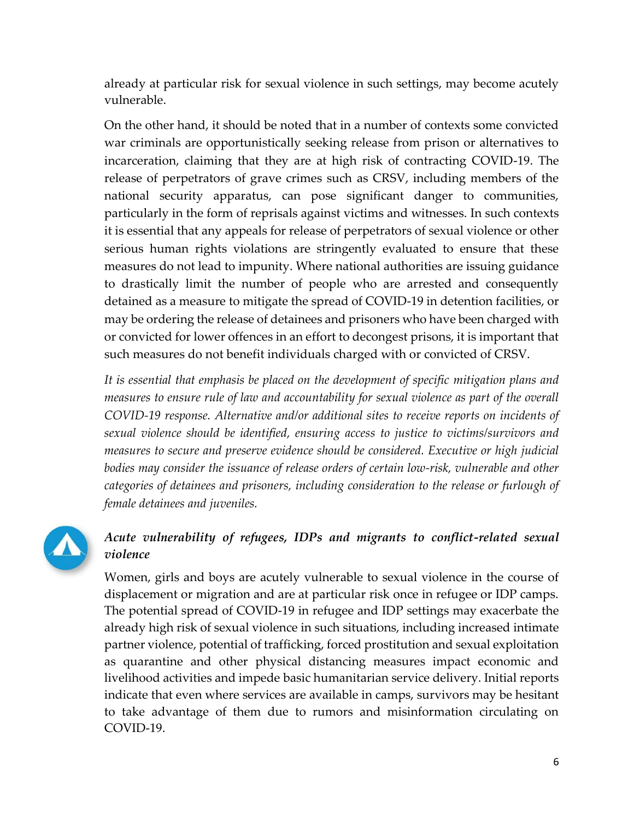already at particular risk for sexual violence in such settings, may become acutely vulnerable.

On the other hand, it should be noted that in a number of contexts some convicted war criminals are opportunistically seeking release from prison or alternatives to incarceration, claiming that they are at high risk of contracting COVID-19. The release of perpetrators of grave crimes such as CRSV, including members of the national security apparatus, can pose significant danger to communities, particularly in the form of reprisals against victims and witnesses. In such contexts it is essential that any appeals for release of perpetrators of sexual violence or other serious human rights violations are stringently evaluated to ensure that these measures do not lead to impunity. Where national authorities are issuing guidance to drastically limit the number of people who are arrested and consequently detained as a measure to mitigate the spread of COVID-19 in detention facilities, or may be ordering the release of detainees and prisoners who have been charged with or convicted for lower offences in an effort to decongest prisons, it is important that such measures do not benefit individuals charged with or convicted of CRSV.

*It is essential that emphasis be placed on the development of specific mitigation plans and measures to ensure rule of law and accountability for sexual violence as part of the overall COVID-19 response. Alternative and/or additional sites to receive reports on incidents of sexual violence should be identified, ensuring access to justice to victims/survivors and measures to secure and preserve evidence should be considered. Executive or high judicial bodies may consider the issuance of release orders of certain low-risk, vulnerable and other categories of detainees and prisoners, including consideration to the release or furlough of female detainees and juveniles.* 



### *Acute vulnerability of refugees, IDPs and migrants to conflict-related sexual violence*

Women, girls and boys are acutely vulnerable to sexual violence in the course of displacement or migration and are at particular risk once in refugee or IDP camps. The potential spread of COVID-19 in refugee and IDP settings may exacerbate the already high risk of sexual violence in such situations, including increased intimate partner violence, potential of trafficking, forced prostitution and sexual exploitation as quarantine and other physical distancing measures impact economic and livelihood activities and impede basic humanitarian service delivery. Initial reports indicate that even where services are available in camps, survivors may be hesitant to take advantage of them due to rumors and misinformation circulating on COVID-19.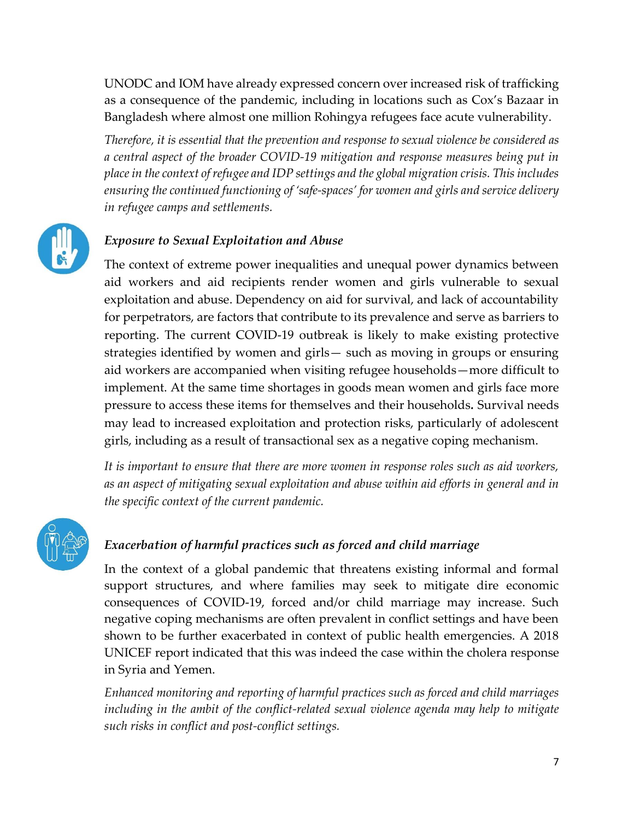UNODC and IOM have already expressed concern over increased risk of trafficking as a consequence of the pandemic, including in locations such as Cox's Bazaar in Bangladesh where almost one million Rohingya refugees face acute vulnerability.

*Therefore, it is essential that the prevention and response to sexual violence be considered as a central aspect of the broader COVID-19 mitigation and response measures being put in place in the context of refugee and IDP settings and the global migration crisis. This includes ensuring the continued functioning of 'safe-spaces' for women and girls and service delivery in refugee camps and settlements.* 



### *Exposure to Sexual Exploitation and Abuse*

The context of extreme power inequalities and unequal power dynamics between aid workers and aid recipients render women and girls vulnerable to sexual exploitation and abuse. Dependency on aid for survival, and lack of accountability for perpetrators, are factors that contribute to its prevalence and serve as barriers to reporting. The current COVID-19 outbreak is likely to make existing protective strategies identified by women and girls— such as moving in groups or ensuring aid workers are accompanied when visiting refugee households—more difficult to implement. At the same time shortages in goods mean women and girls face more pressure to access these items for themselves and their households*.* Survival needs may lead to increased exploitation and protection risks, particularly of adolescent girls, including as a result of transactional sex as a negative coping mechanism.

*It is important to ensure that there are more women in response roles such as aid workers, as an aspect of mitigating sexual exploitation and abuse within aid efforts in general and in the specific context of the current pandemic.*



### *Exacerbation of harmful practices such as forced and child marriage*

In the context of a global pandemic that threatens existing informal and formal support structures, and where families may seek to mitigate dire economic consequences of COVID-19, forced and/or child marriage may increase. Such negative coping mechanisms are often prevalent in conflict settings and have been shown to be further exacerbated in context of public health emergencies. A 2018 UNICEF report indicated that this was indeed the case within the cholera response in Syria and Yemen.

*Enhanced monitoring and reporting of harmful practices such as forced and child marriages including in the ambit of the conflict-related sexual violence agenda may help to mitigate such risks in conflict and post-conflict settings.*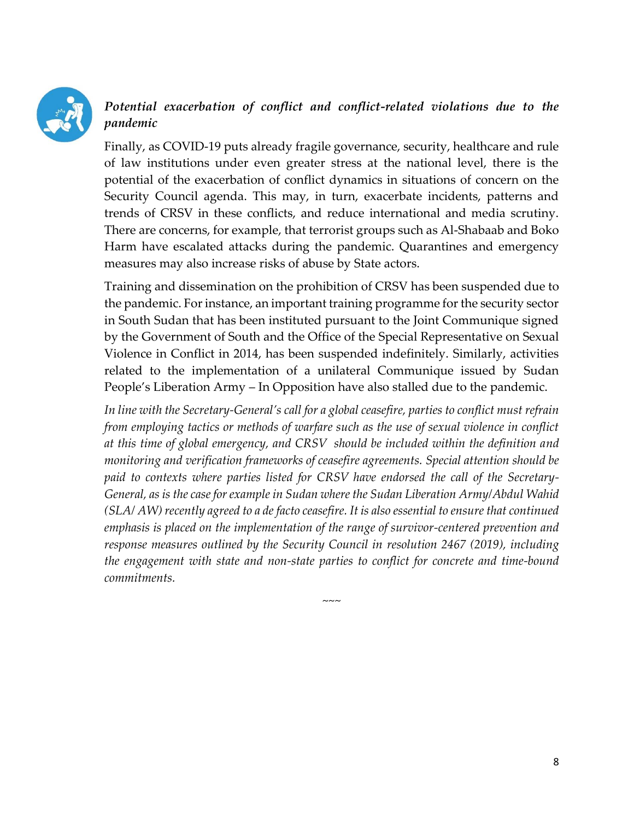

## *Potential exacerbation of conflict and conflict-related violations due to the pandemic*

Finally, as COVID-19 puts already fragile governance, security, healthcare and rule of law institutions under even greater stress at the national level, there is the potential of the exacerbation of conflict dynamics in situations of concern on the Security Council agenda. This may, in turn, exacerbate incidents, patterns and trends of CRSV in these conflicts, and reduce international and media scrutiny. There are concerns, for example, that terrorist groups such as Al-Shabaab and Boko Harm have escalated attacks during the pandemic. Quarantines and emergency measures may also increase risks of abuse by State actors.

Training and dissemination on the prohibition of CRSV has been suspended due to the pandemic. For instance, an important training programme for the security sector in South Sudan that has been instituted pursuant to the Joint Communique signed by the Government of South and the Office of the Special Representative on Sexual Violence in Conflict in 2014, has been suspended indefinitely. Similarly, activities related to the implementation of a unilateral Communique issued by Sudan People's Liberation Army – In Opposition have also stalled due to the pandemic.

*In line with the Secretary-General's call for a global ceasefire, parties to conflict must refrain from employing tactics or methods of warfare such as the use of sexual violence in conflict at this time of global emergency, and CRSV should be included within the definition and monitoring and verification frameworks of ceasefire agreements. Special attention should be paid to contexts where parties listed for CRSV have endorsed the call of the Secretary-General, as is the case for example in Sudan where the Sudan Liberation Army/Abdul Wahid (SLA/ AW) recently agreed to a de facto ceasefire. It is also essential to ensure that continued emphasis is placed on the implementation of the range of survivor-centered prevention and response measures outlined by the Security Council in resolution 2467 (2019), including the engagement with state and non-state parties to conflict for concrete and time-bound commitments.* 

 $\sim\sim\sim$